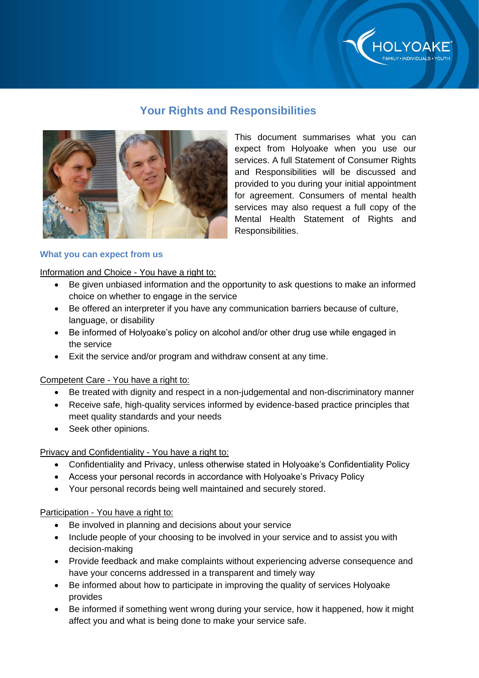

# **Your Rights and Responsibilities**



This document summarises what you can expect from Holyoake when you use our services. A full Statement of Consumer Rights and Responsibilities will be discussed and provided to you during your initial appointment for agreement. Consumers of mental health services may also request a full copy of the Mental Health Statement of Rights and Responsibilities.

## **What you can expect from us**

Information and Choice - You have a right to:

- Be given unbiased information and the opportunity to ask questions to make an informed choice on whether to engage in the service
- Be offered an interpreter if you have any communication barriers because of culture, language, or disability
- Be informed of Holyoake's policy on alcohol and/or other drug use while engaged in the service
- Exit the service and/or program and withdraw consent at any time.

Competent Care - You have a right to:

- Be treated with dignity and respect in a non-judgemental and non-discriminatory manner
- Receive safe, high-quality services informed by evidence-based practice principles that meet quality standards and your needs
- Seek other opinions.

## Privacy and Confidentiality - You have a right to:

- Confidentiality and Privacy, unless otherwise stated in Holyoake's Confidentiality Policy
- Access your personal records in accordance with Holyoake's Privacy Policy
- Your personal records being well maintained and securely stored.

## Participation - You have a right to:

- Be involved in planning and decisions about your service
- Include people of your choosing to be involved in your service and to assist you with decision-making
- Provide feedback and make complaints without experiencing adverse consequence and have your concerns addressed in a transparent and timely way
- Be informed about how to participate in improving the quality of services Holyoake provides
- Be informed if something went wrong during your service, how it happened, how it might affect you and what is being done to make your service safe.